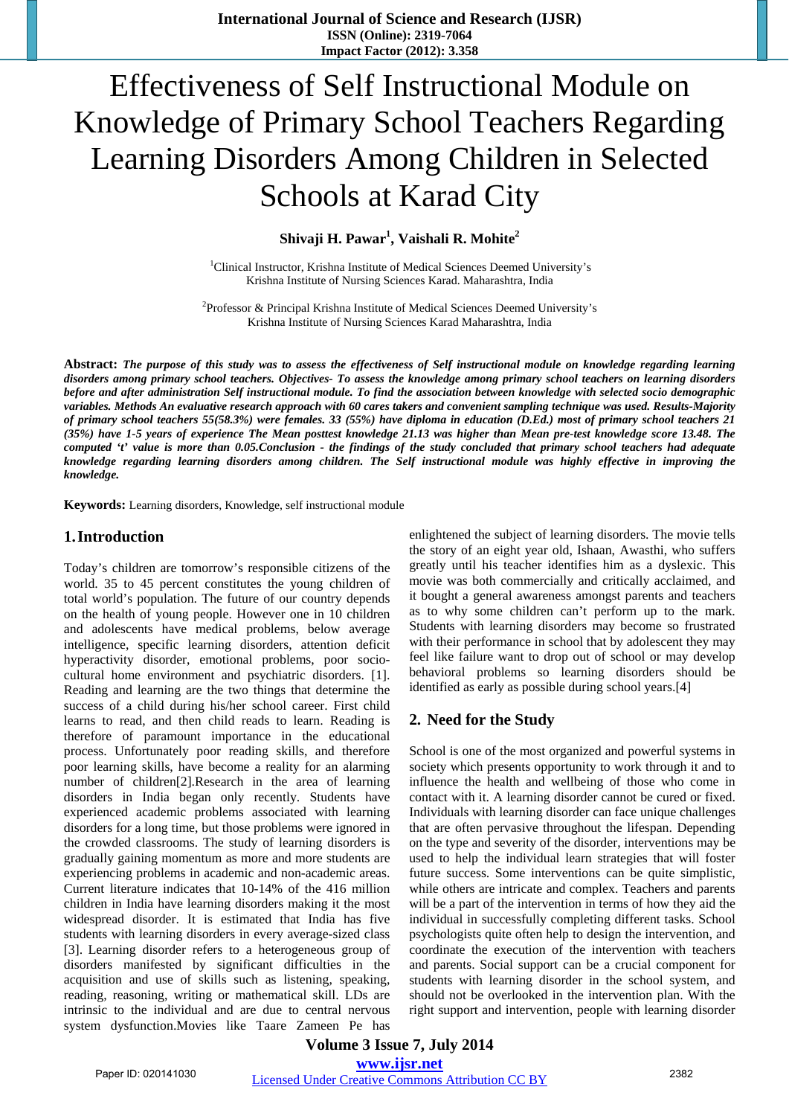# Effectiveness of Self Instructional Module on Knowledge of Primary School Teachers Regarding Learning Disorders Among Children in Selected Schools at Karad City

Shivaji H. Pawar<sup>1</sup>, Vaishali R. Mohite<sup>2</sup>

<sup>1</sup>Clinical Instructor, Krishna Institute of Medical Sciences Deemed University's Krishna Institute of Nursing Sciences Karad. Maharashtra, India

<sup>2</sup> Professor & Principal Krishna Institute of Medical Sciences Deemed University's Krishna Institute of Nursing Sciences Karad Maharashtra, India

**Abstract:** *The purpose of this study was to assess the effectiveness of Self instructional module on knowledge regarding learning disorders among primary school teachers. Objectives- To assess the knowledge among primary school teachers on learning disorders before and after administration Self instructional module. To find the association between knowledge with selected socio demographic variables. Methods An evaluative research approach with 60 cares takers and convenient sampling technique was used. Results-Majority of primary school teachers 55(58.3%) were females. 33 (55%) have diploma in education (D.Ed.) most of primary school teachers 21 (35%) have 1-5 years of experience The Mean posttest knowledge 21.13 was higher than Mean pre-test knowledge score 13.48. The computed 't' value is more than 0.05.Conclusion - the findings of the study concluded that primary school teachers had adequate knowledge regarding learning disorders among children. The Self instructional module was highly effective in improving the knowledge.*

**Keywords:** Learning disorders, Knowledge, self instructional module

# **1.Introduction**

Today's children are tomorrow's responsible citizens of the world. 35 to 45 percent constitutes the young children of total world's population. The future of our country depends on the health of young people. However one in 10 children and adolescents have medical problems, below average intelligence, specific learning disorders, attention deficit hyperactivity disorder, emotional problems, poor sociocultural home environment and psychiatric disorders. [1]. Reading and learning are the two things that determine the success of a child during his/her school career. First child learns to read, and then child reads to learn. Reading is therefore of paramount importance in the educational process. Unfortunately poor reading skills, and therefore poor learning skills, have become a reality for an alarming number of children[2].Research in the area of learning disorders in India began only recently. Students have experienced academic problems associated with learning disorders for a long time, but those problems were ignored in the crowded classrooms. The study of learning disorders is gradually gaining momentum as more and more students are experiencing problems in academic and non-academic areas. Current literature indicates that 10-14% of the 416 million children in India have learning disorders making it the most widespread disorder. It is estimated that India has five students with learning disorders in every average-sized class [3]. Learning disorder refers to a heterogeneous group of disorders manifested by significant difficulties in the acquisition and use of skills such as listening, speaking, reading, reasoning, writing or mathematical skill. LDs are intrinsic to the individual and are due to central nervous system dysfunction.Movies like Taare Zameen Pe has enlightened the subject of learning disorders. The movie tells the story of an eight year old, Ishaan, Awasthi, who suffers greatly until his teacher identifies him as a dyslexic. This movie was both commercially and critically acclaimed, and it bought a general awareness amongst parents and teachers as to why some children can't perform up to the mark. Students with learning disorders may become so frustrated with their performance in school that by adolescent they may feel like failure want to drop out of school or may develop behavioral problems so learning disorders should be identified as early as possible during school years.[4]

# **2. Need for the Study**

School is one of the most organized and powerful systems in society which presents opportunity to work through it and to influence the health and wellbeing of those who come in contact with it. A learning disorder cannot be cured or fixed. Individuals with learning disorder can face unique challenges that are often pervasive throughout the lifespan. Depending on the type and severity of the disorder, interventions may be used to help the individual learn strategies that will foster future success. Some interventions can be quite simplistic, while others are intricate and complex. Teachers and parents will be a part of the intervention in terms of how they aid the individual in successfully completing different tasks. School psychologists quite often help to design the intervention, and coordinate the execution of the intervention with teachers and parents. Social support can be a crucial component for students with learning disorder in the school system, and should not be overlooked in the intervention plan. With the right support and intervention, people with learning disorder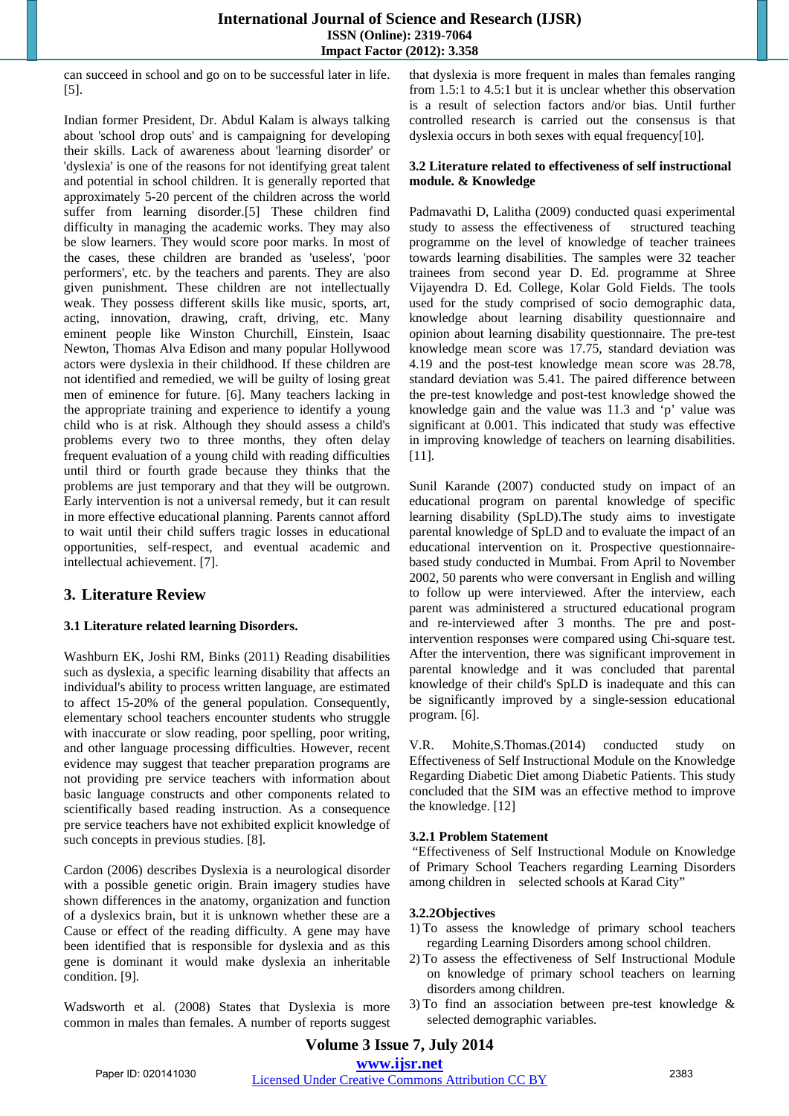can succeed in school and go on to be successful later in life. [5].

Indian former President, Dr. Abdul Kalam is always talking about 'school drop outs' and is campaigning for developing their skills. Lack of awareness about 'learning disorder' or 'dyslexia' is one of the reasons for not identifying great talent and potential in school children. It is generally reported that approximately 5-20 percent of the children across the world suffer from learning disorder.[5] These children find difficulty in managing the academic works. They may also be slow learners. They would score poor marks. In most of the cases, these children are branded as 'useless', 'poor performers', etc. by the teachers and parents. They are also given punishment. These children are not intellectually weak. They possess different skills like music, sports, art, acting, innovation, drawing, craft, driving, etc. Many eminent people like Winston Churchill, Einstein, Isaac Newton, Thomas Alva Edison and many popular Hollywood actors were dyslexia in their childhood. If these children are not identified and remedied, we will be guilty of losing great men of eminence for future. [6]. Many teachers lacking in the appropriate training and experience to identify a young child who is at risk. Although they should assess a child's problems every two to three months, they often delay frequent evaluation of a young child with reading difficulties until third or fourth grade because they thinks that the problems are just temporary and that they will be outgrown. Early intervention is not a universal remedy, but it can result in more effective educational planning. Parents cannot afford to wait until their child suffers tragic losses in educational opportunities, self-respect, and eventual academic and intellectual achievement. [7].

# **3. Literature Review**

# **3.1 Literature related learning Disorders.**

Washburn EK, Joshi RM, Binks (2011) Reading disabilities such as dyslexia, a specific learning disability that affects an individual's ability to process written language, are estimated to affect 15-20% of the general population. Consequently, elementary school teachers encounter students who struggle with inaccurate or slow reading, poor spelling, poor writing, and other language processing difficulties. However, recent evidence may suggest that teacher preparation programs are not providing pre service teachers with information about basic language constructs and other components related to scientifically based reading instruction. As a consequence pre service teachers have not exhibited explicit knowledge of such concepts in previous studies. [8].

Cardon (2006) describes Dyslexia is a neurological disorder with a possible genetic origin. Brain imagery studies have shown differences in the anatomy, organization and function of a dyslexics brain, but it is unknown whether these are a Cause or effect of the reading difficulty. A gene may have been identified that is responsible for dyslexia and as this gene is dominant it would make dyslexia an inheritable condition. [9].

Wadsworth et al. (2008) States that Dyslexia is more common in males than females. A number of reports suggest that dyslexia is more frequent in males than females ranging from 1.5:1 to 4.5:1 but it is unclear whether this observation is a result of selection factors and/or bias. Until further controlled research is carried out the consensus is that dyslexia occurs in both sexes with equal frequency[10].

#### **3.2 Literature related to effectiveness of self instructional module. & Knowledge**

Padmavathi D, Lalitha (2009) conducted quasi experimental study to assess the effectiveness of structured teaching programme on the level of knowledge of teacher trainees towards learning disabilities. The samples were 32 teacher trainees from second year D. Ed. programme at Shree Vijayendra D. Ed. College, Kolar Gold Fields. The tools used for the study comprised of socio demographic data, knowledge about learning disability questionnaire and opinion about learning disability questionnaire. The pre-test knowledge mean score was 17.75, standard deviation was 4.19 and the post-test knowledge mean score was 28.78, standard deviation was 5.41. The paired difference between the pre-test knowledge and post-test knowledge showed the knowledge gain and the value was 11.3 and 'p' value was significant at 0.001. This indicated that study was effective in improving knowledge of teachers on learning disabilities. [11].

Sunil Karande (2007) conducted study on impact of an educational program on parental knowledge of specific learning disability (SpLD).The study aims to investigate parental knowledge of SpLD and to evaluate the impact of an educational intervention on it. Prospective questionnairebased study conducted in Mumbai. From April to November 2002, 50 parents who were conversant in English and willing to follow up were interviewed. After the interview, each parent was administered a structured educational program and re-interviewed after 3 months. The pre and postintervention responses were compared using Chi-square test. After the intervention, there was significant improvement in parental knowledge and it was concluded that parental knowledge of their child's SpLD is inadequate and this can be significantly improved by a single-session educational program. [6].

V.R. Mohite,S.Thomas.(2014) conducted study on Effectiveness of Self Instructional Module on the Knowledge Regarding Diabetic Diet among Diabetic Patients. This study concluded that the SIM was an effective method to improve the knowledge. [12]

#### **3.2.1 Problem Statement**

 "Effectiveness of Self Instructional Module on Knowledge of Primary School Teachers regarding Learning Disorders among children in selected schools at Karad City"

# **3.2.2Objectives**

- 1) To assess the knowledge of primary school teachers regarding Learning Disorders among school children.
- 2) To assess the effectiveness of Self Instructional Module on knowledge of primary school teachers on learning disorders among children.
- 3) To find an association between pre-test knowledge & selected demographic variables.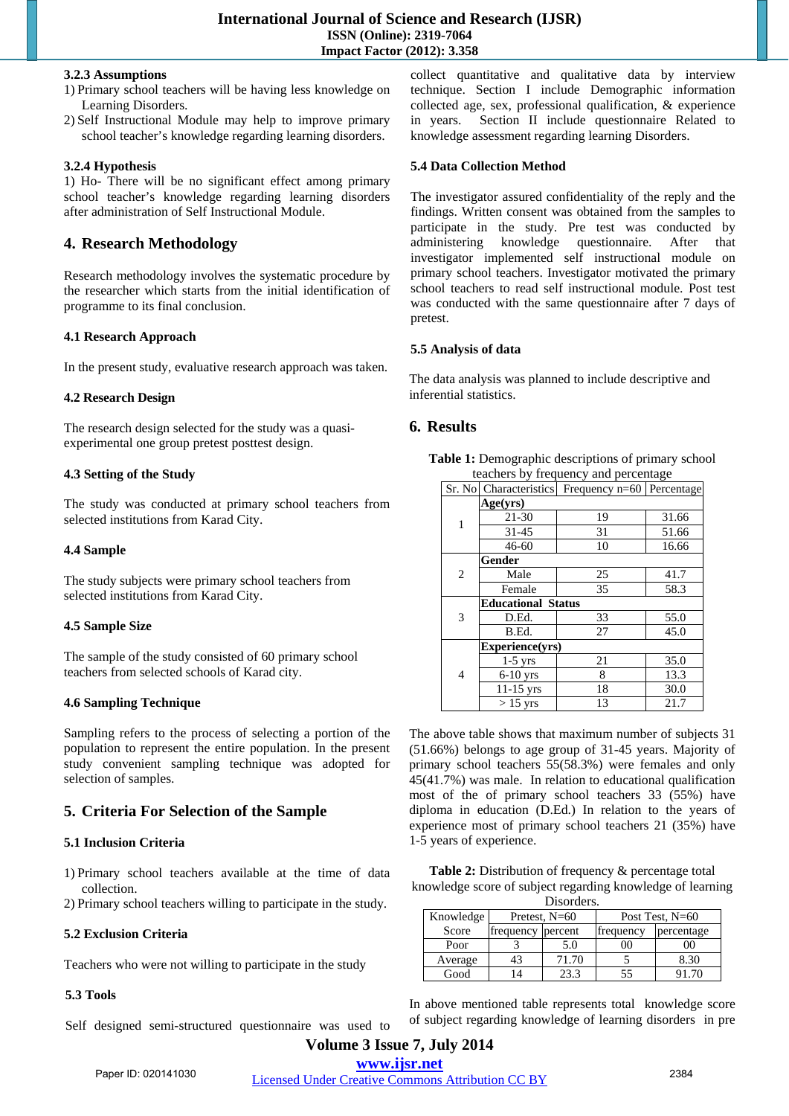#### **3.2.3 Assumptions**

- 1) Primary school teachers will be having less knowledge on Learning Disorders.
- 2) Self Instructional Module may help to improve primary school teacher's knowledge regarding learning disorders.

# **3.2.4 Hypothesis**

1) Ho- There will be no significant effect among primary school teacher's knowledge regarding learning disorders after administration of Self Instructional Module.

# **4. Research Methodology**

Research methodology involves the systematic procedure by the researcher which starts from the initial identification of programme to its final conclusion.

#### **4.1 Research Approach**

In the present study, evaluative research approach was taken.

#### **4.2 Research Design**

The research design selected for the study was a quasiexperimental one group pretest posttest design.

# **4.3 Setting of the Study**

The study was conducted at primary school teachers from selected institutions from Karad City.

#### **4.4 Sample**

The study subjects were primary school teachers from selected institutions from Karad City.

# **4.5 Sample Size**

The sample of the study consisted of 60 primary school teachers from selected schools of Karad city.

# **4.6 Sampling Technique**

Sampling refers to the process of selecting a portion of the population to represent the entire population. In the present study convenient sampling technique was adopted for selection of samples.

# **5. Criteria For Selection of the Sample**

# **5.1 Inclusion Criteria**

1) Primary school teachers available at the time of data collection.

2) Primary school teachers willing to participate in the study.

#### **5.2 Exclusion Criteria**

Teachers who were not willing to participate in the study

# **5.3 Tools**

Self designed semi-structured questionnaire was used to

collect quantitative and qualitative data by interview technique. Section I include Demographic information collected age, sex, professional qualification, & experience in years. Section II include questionnaire Related to knowledge assessment regarding learning Disorders.

## **5.4 Data Collection Method**

The investigator assured confidentiality of the reply and the findings. Written consent was obtained from the samples to participate in the study. Pre test was conducted by administering knowledge questionnaire. After that investigator implemented self instructional module on primary school teachers. Investigator motivated the primary school teachers to read self instructional module. Post test was conducted with the same questionnaire after 7 days of pretest.

#### **5.5 Analysis of data**

The data analysis was planned to include descriptive and inferential statistics.

# **6. Results**

| Table 1: Demographic descriptions of primary school |  |
|-----------------------------------------------------|--|
| teachers by frequency and percentage                |  |

|   | Sr. No Characteristics    | Frequency $n=60$ | Percentage |  |  |
|---|---------------------------|------------------|------------|--|--|
|   | Age(yrs)                  |                  |            |  |  |
| 1 | 21-30                     | 19               | 31.66      |  |  |
|   | $31 - 45$                 | 31               | 51.66      |  |  |
|   | $46 - 60$                 | 10               | 16.66      |  |  |
|   | Gender                    |                  |            |  |  |
| 2 | Male                      | 25               | 41.7       |  |  |
|   | Female                    | 35               | 58.3       |  |  |
| 3 | <b>Educational Status</b> |                  |            |  |  |
|   | D.Ed.                     | 33               | 55.0       |  |  |
|   | B.Ed.                     | 27               | 45.0       |  |  |
|   | Experience(yrs)           |                  |            |  |  |
| 4 | $1-5$ yrs                 | 21               | 35.0       |  |  |
|   | $6-10$ yrs                | 8                | 13.3       |  |  |
|   | $11-15$ yrs               | 18               | 30.0       |  |  |
|   | $>15$ yrs                 | 13               | 21.7       |  |  |

The above table shows that maximum number of subjects 31 (51.66%) belongs to age group of 31-45 years. Majority of primary school teachers 55(58.3%) were females and only 45(41.7%) was male. In relation to educational qualification most of the of primary school teachers 33 (55%) have diploma in education (D.Ed.) In relation to the years of experience most of primary school teachers 21 (35%) have 1-5 years of experience.

Table 2: Distribution of frequency & percentage total knowledge score of subject regarding knowledge of learning Disorders.

| DISORUCIS. |                   |       |                   |            |  |  |  |
|------------|-------------------|-------|-------------------|------------|--|--|--|
| Knowledge  | Pretest, $N=60$   |       | Post Test, $N=60$ |            |  |  |  |
| Score      | frequency percent |       | frequency         | percentage |  |  |  |
| Poor       |                   | 5.0   | 00                | იი         |  |  |  |
| Average    | 43                | 71.70 |                   | 8.30       |  |  |  |
| Good       |                   | 23.3  | 55                | 91.70      |  |  |  |

In above mentioned table represents total knowledge score of subject regarding knowledge of learning disorders in pre

**Volume 3 Issue 7, July 2014 www.ijsr.net** Paper ID: 020141030 Licensed Under Creative Commons Attribution CC BY 2384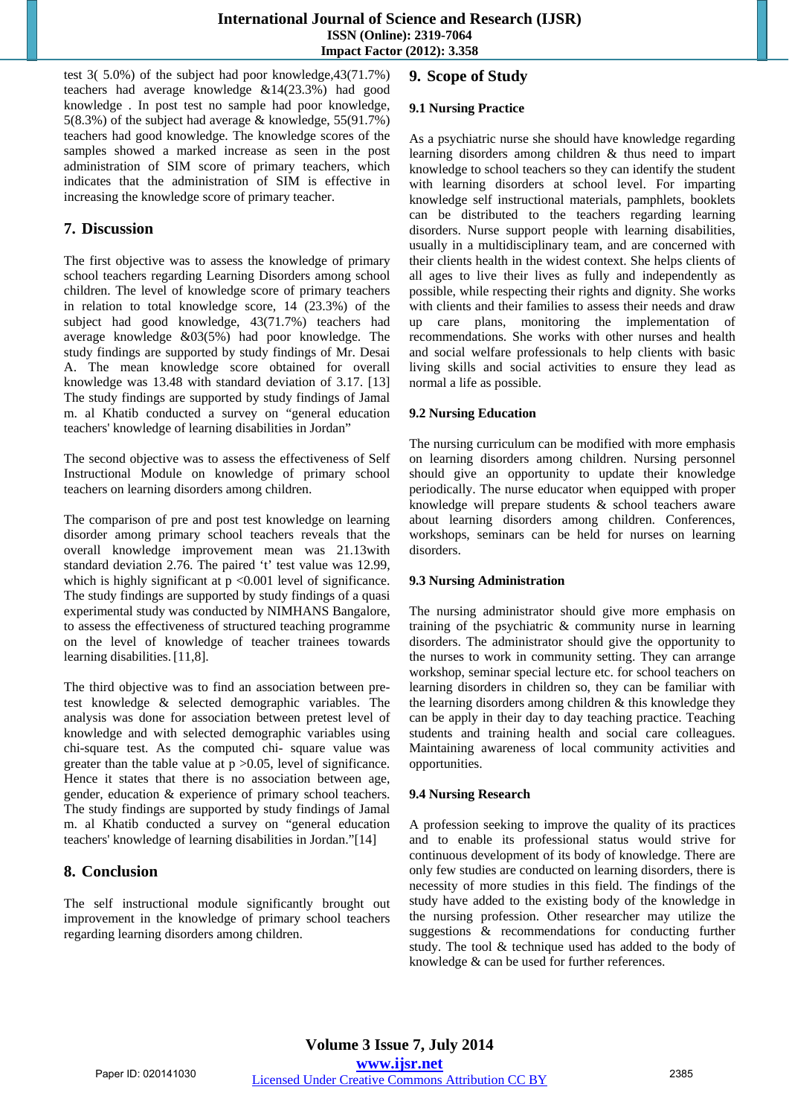test 3( 5.0%) of the subject had poor knowledge,43(71.7%) teachers had average knowledge &14(23.3%) had good knowledge . In post test no sample had poor knowledge, 5(8.3%) of the subject had average & knowledge, 55(91.7%) teachers had good knowledge. The knowledge scores of the samples showed a marked increase as seen in the post administration of SIM score of primary teachers, which indicates that the administration of SIM is effective in increasing the knowledge score of primary teacher.

# **7. Discussion**

The first objective was to assess the knowledge of primary school teachers regarding Learning Disorders among school children. The level of knowledge score of primary teachers in relation to total knowledge score, 14 (23.3%) of the subject had good knowledge, 43(71.7%) teachers had average knowledge &03(5%) had poor knowledge. The study findings are supported by study findings of Mr. Desai A. The mean knowledge score obtained for overall knowledge was 13.48 with standard deviation of 3.17. [13] The study findings are supported by study findings of Jamal m. al Khatib conducted a survey on "general education teachers' knowledge of learning disabilities in Jordan"

The second objective was to assess the effectiveness of Self Instructional Module on knowledge of primary school teachers on learning disorders among children.

The comparison of pre and post test knowledge on learning disorder among primary school teachers reveals that the overall knowledge improvement mean was 21.13with standard deviation 2.76. The paired 't' test value was 12.99, which is highly significant at  $p \le 0.001$  level of significance. The study findings are supported by study findings of a quasi experimental study was conducted by NIMHANS Bangalore, to assess the effectiveness of structured teaching programme on the level of knowledge of teacher trainees towards learning disabilities. [11,8].

The third objective was to find an association between pretest knowledge & selected demographic variables. The analysis was done for association between pretest level of knowledge and with selected demographic variables using chi-square test. As the computed chi- square value was greater than the table value at  $p > 0.05$ , level of significance. Hence it states that there is no association between age, gender, education & experience of primary school teachers. The study findings are supported by study findings of Jamal m. al Khatib conducted a survey on "general education teachers' knowledge of learning disabilities in Jordan."[14]

# **8. Conclusion**

The self instructional module significantly brought out improvement in the knowledge of primary school teachers regarding learning disorders among children.

# **9. Scope of Study**

# **9.1 Nursing Practice**

As a psychiatric nurse she should have knowledge regarding learning disorders among children & thus need to impart knowledge to school teachers so they can identify the student with learning disorders at school level. For imparting knowledge self instructional materials, pamphlets, booklets can be distributed to the teachers regarding learning disorders. Nurse support people with learning disabilities, usually in a multidisciplinary team, and are concerned with their clients health in the widest context. She helps clients of all ages to live their lives as fully and independently as possible, while respecting their rights and dignity. She works with clients and their families to assess their needs and draw up care plans, monitoring the implementation of recommendations. She works with other nurses and health and social welfare professionals to help clients with basic living skills and social activities to ensure they lead as normal a life as possible.

# **9.2 Nursing Education**

The nursing curriculum can be modified with more emphasis on learning disorders among children. Nursing personnel should give an opportunity to update their knowledge periodically. The nurse educator when equipped with proper knowledge will prepare students & school teachers aware about learning disorders among children. Conferences, workshops, seminars can be held for nurses on learning disorders.

# **9.3 Nursing Administration**

The nursing administrator should give more emphasis on training of the psychiatric & community nurse in learning disorders. The administrator should give the opportunity to the nurses to work in community setting. They can arrange workshop, seminar special lecture etc. for school teachers on learning disorders in children so, they can be familiar with the learning disorders among children & this knowledge they can be apply in their day to day teaching practice. Teaching students and training health and social care colleagues. Maintaining awareness of local community activities and opportunities.

# **9.4 Nursing Research**

A profession seeking to improve the quality of its practices and to enable its professional status would strive for continuous development of its body of knowledge. There are only few studies are conducted on learning disorders, there is necessity of more studies in this field. The findings of the study have added to the existing body of the knowledge in the nursing profession. Other researcher may utilize the suggestions & recommendations for conducting further study. The tool & technique used has added to the body of knowledge & can be used for further references.